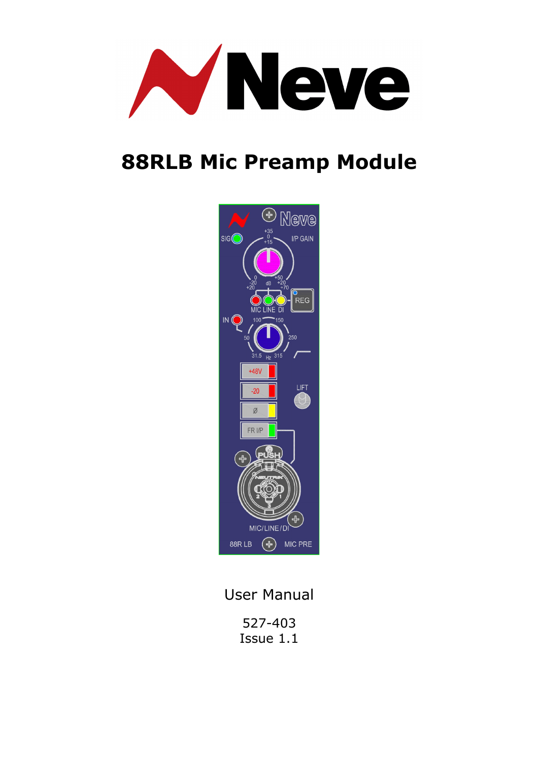

# **88RLB Mic Preamp Module**



User Manual

527-403 Issue 1.1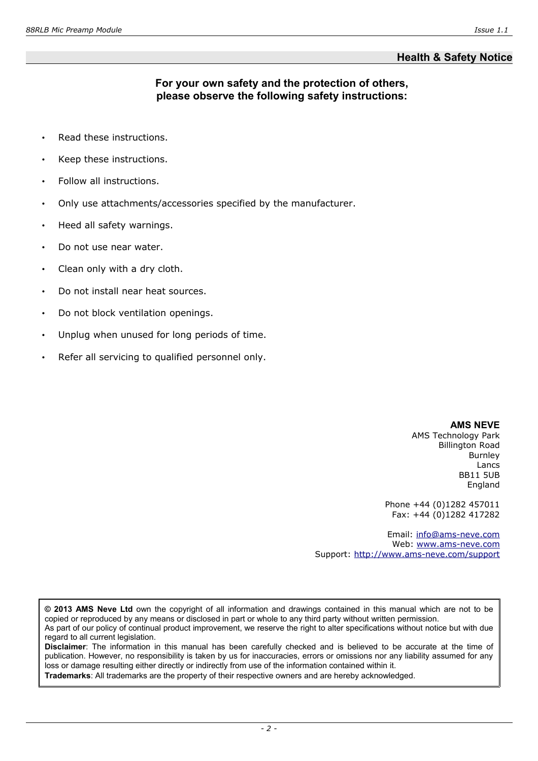# **Health & Safety Notice**

# **For your own safety and the protection of others, please observe the following safety instructions:**

- Read these instructions.
- Keep these instructions.
- Follow all instructions.
- Only use attachments/accessories specified by the manufacturer.
- Heed all safety warnings.
- Do not use near water.
- Clean only with a dry cloth.
- Do not install near heat sources.
- Do not block ventilation openings.
- Unplug when unused for long periods of time.
- Refer all servicing to qualified personnel only.

**AMS NEVE**

AMS Technology Park Billington Road Burnley Lancs BB11 5UB England

Phone +44 (0)1282 457011 Fax: +44 (0)1282 417282

Email: [info@ams-neve.com](mailto:info@ams-neve.com) Web: [www.ams-neve.com](http://www.ams-neve.com/) Support:<http://www.ams-neve.com/support>

**© 2013 AMS Neve Ltd** own the copyright of all information and drawings contained in this manual which are not to be copied or reproduced by any means or disclosed in part or whole to any third party without written permission. As part of our policy of continual product improvement, we reserve the right to alter specifications without notice but with due regard to all current legislation.

**Disclaimer**: The information in this manual has been carefully checked and is believed to be accurate at the time of publication. However, no responsibility is taken by us for inaccuracies, errors or omissions nor any liability assumed for any loss or damage resulting either directly or indirectly from use of the information contained within it.

**Trademarks**: All trademarks are the property of their respective owners and are hereby acknowledged.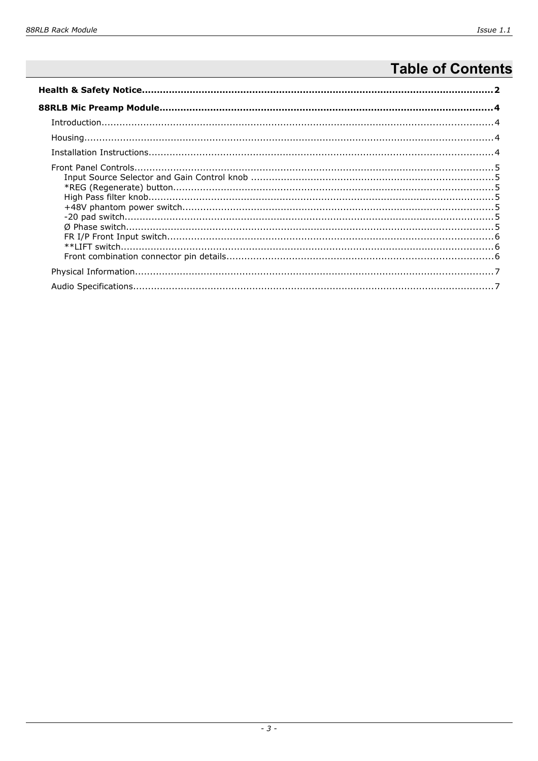# **Table of Contents**

| $\label{prop:1} \textit{Introduction}\\ \textit{1-1} \textit{trroduction}\\ \textit{2-1} \textit{trroduction}\\ \textit{3-2} \textit{trivial} \textit{trivial} \textit{trivial} \textit{trivial} \textit{trivial} \textit{trivial} \textit{trivial} \textit{trivial} \textit{trivial} \textit{trivial} \textit{trivial} \textit{trivial} \textit{trivial} \textit{trivial} \textit{trivial} \textit{trivial} \textit{trivial} \textit{trivial} \textit{trivial} \textit{trivial} \textit{trivial} \textit{trivial} \textit{trivial$ |  |  |  |  |
|-------------------------------------------------------------------------------------------------------------------------------------------------------------------------------------------------------------------------------------------------------------------------------------------------------------------------------------------------------------------------------------------------------------------------------------------------------------------------------------------------------------------------------------|--|--|--|--|
|                                                                                                                                                                                                                                                                                                                                                                                                                                                                                                                                     |  |  |  |  |
|                                                                                                                                                                                                                                                                                                                                                                                                                                                                                                                                     |  |  |  |  |
|                                                                                                                                                                                                                                                                                                                                                                                                                                                                                                                                     |  |  |  |  |
|                                                                                                                                                                                                                                                                                                                                                                                                                                                                                                                                     |  |  |  |  |
|                                                                                                                                                                                                                                                                                                                                                                                                                                                                                                                                     |  |  |  |  |
|                                                                                                                                                                                                                                                                                                                                                                                                                                                                                                                                     |  |  |  |  |
|                                                                                                                                                                                                                                                                                                                                                                                                                                                                                                                                     |  |  |  |  |
|                                                                                                                                                                                                                                                                                                                                                                                                                                                                                                                                     |  |  |  |  |
|                                                                                                                                                                                                                                                                                                                                                                                                                                                                                                                                     |  |  |  |  |
|                                                                                                                                                                                                                                                                                                                                                                                                                                                                                                                                     |  |  |  |  |
|                                                                                                                                                                                                                                                                                                                                                                                                                                                                                                                                     |  |  |  |  |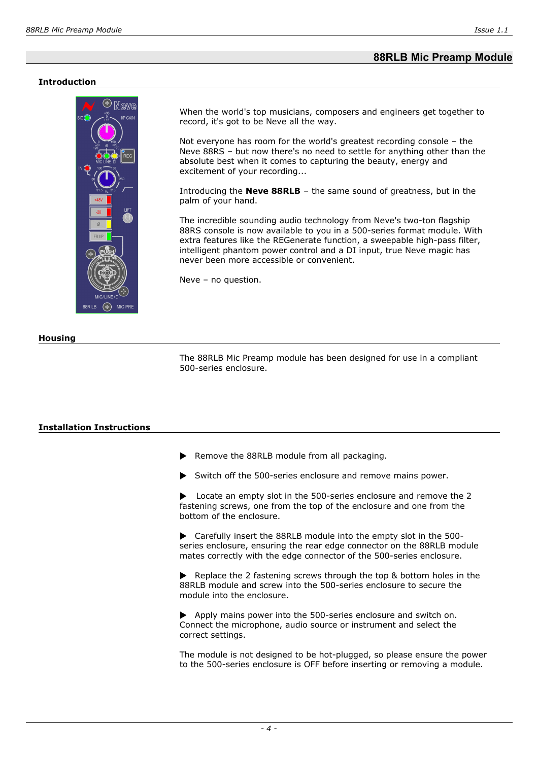## **88RLB Mic Preamp Module**

#### **Introduction**



When the world's top musicians, composers and engineers get together to record, it's got to be Neve all the way.

Not everyone has room for the world's greatest recording console – the Neve 88RS – but now there's no need to settle for anything other than the absolute best when it comes to capturing the beauty, energy and excitement of your recording...

Introducing the **Neve 88RLB** – the same sound of greatness, but in the palm of your hand.

The incredible sounding audio technology from Neve's two-ton flagship 88RS console is now available to you in a 500-series format module. With extra features like the REGenerate function, a sweepable high-pass filter, intelligent phantom power control and a DI input, true Neve magic has never been more accessible or convenient.

Neve – no question.

#### **Housing**

The 88RLB Mic Preamp module has been designed for use in a compliant 500-series enclosure.

#### **Installation Instructions**

 $\blacktriangleright$  Remove the 88RLB module from all packaging.

 $\triangleright$  Switch off the 500-series enclosure and remove mains power.

 $\blacktriangleright$  Locate an empty slot in the 500-series enclosure and remove the 2 fastening screws, one from the top of the enclosure and one from the bottom of the enclosure.

 $\blacktriangleright$  Carefully insert the 88RLB module into the empty slot in the 500series enclosure, ensuring the rear edge connector on the 88RLB module mates correctly with the edge connector of the 500-series enclosure.

 $\blacktriangleright$  Replace the 2 fastening screws through the top & bottom holes in the 88RLB module and screw into the 500-series enclosure to secure the module into the enclosure.

 $\blacktriangleright$  Apply mains power into the 500-series enclosure and switch on. Connect the microphone, audio source or instrument and select the correct settings.

The module is not designed to be hot-plugged, so please ensure the power to the 500-series enclosure is OFF before inserting or removing a module.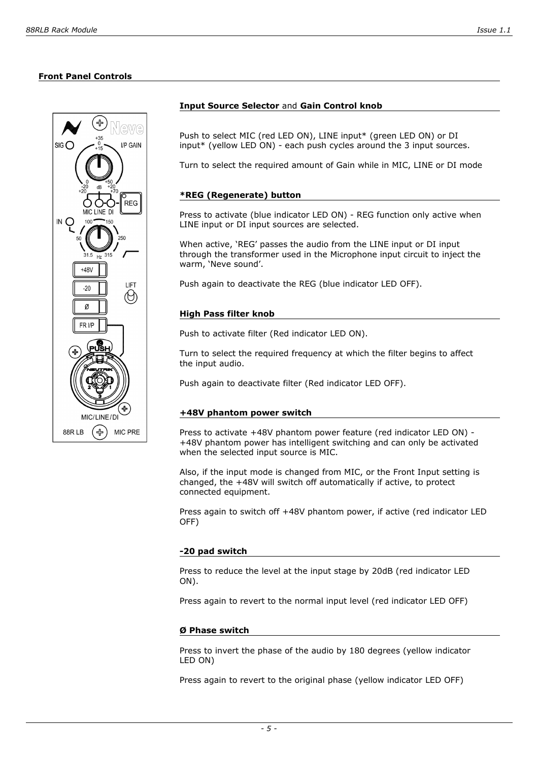

#### **Input Source Selector** and **Gain Control knob**

Push to select MIC (red LED ON), LINE input\* (green LED ON) or DI input\* (yellow LED ON) - each push cycles around the 3 input sources.

Turn to select the required amount of Gain while in MIC, LINE or DI mode

#### **\*REG (Regenerate) button**

Press to activate (blue indicator LED ON) - REG function only active when LINE input or DI input sources are selected.

When active, 'REG' passes the audio from the LINE input or DI input through the transformer used in the Microphone input circuit to inject the warm, 'Neve sound'.

Push again to deactivate the REG (blue indicator LED OFF).

#### **High Pass filter knob**

Push to activate filter (Red indicator LED ON).

Turn to select the required frequency at which the filter begins to affect the input audio.

Push again to deactivate filter (Red indicator LED OFF).

#### **+48V phantom power switch**

Press to activate +48V phantom power feature (red indicator LED ON) - +48V phantom power has intelligent switching and can only be activated when the selected input source is MIC.

Also, if the input mode is changed from MIC, or the Front Input setting is changed, the +48V will switch off automatically if active, to protect connected equipment.

Press again to switch off +48V phantom power, if active (red indicator LED OFF)

#### **-20 pad switch**

Press to reduce the level at the input stage by 20dB (red indicator LED ON).

Press again to revert to the normal input level (red indicator LED OFF)

#### **Ø Phase switch**

Press to invert the phase of the audio by 180 degrees (yellow indicator LED ON)

Press again to revert to the original phase (yellow indicator LED OFF)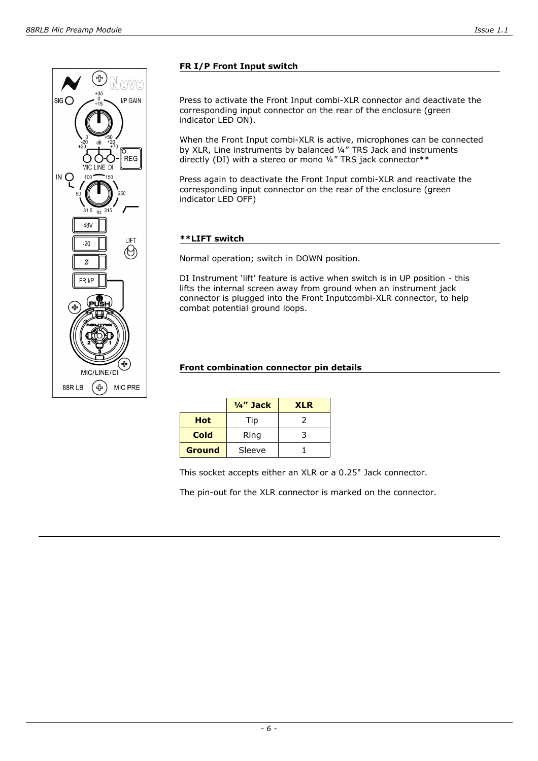

# **FR I/P Front Input switch**

Press to activate the Front Input combi-XLR connector and deactivate the corresponding input connector on the rear of the enclosure (green indicator LED ON).

When the Front Input combi-XLR is active, microphones can be connected by XLR, Line instruments by balanced ¼" TRS Jack and instruments directly (DI) with a stereo or mono ¼" TRS jack connector\*\*

Press again to deactivate the Front Input combi-XLR and reactivate the corresponding input connector on the rear of the enclosure (green indicator LED OFF)

#### **\*\*LIFT switch**

Normal operation; switch in DOWN position.

DI Instrument 'lift' feature is active when switch is in UP position - this lifts the internal screen away from ground when an instrument jack connector is plugged into the Front Inputcombi-XLR connector, to help combat potential ground loops.

#### **Front combination connector pin details**

|               | $\frac{1}{4}$ " Jack | <b>XLR</b> |
|---------------|----------------------|------------|
| <b>Hot</b>    | Tip                  | 2          |
| Cold          | Ring                 | 3          |
| <b>Ground</b> | Sleeve               |            |

This socket accepts either an XLR or a 0.25" Jack connector.

The pin-out for the XLR connector is marked on the connector.